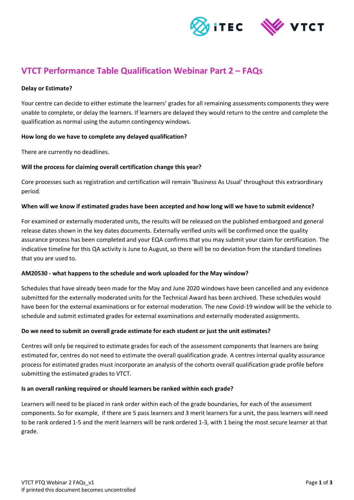

# **VTCT Performance Table Qualification Webinar Part 2 – FAQs**

#### **Delay or Estimate?**

Your centre can decide to either estimate the learners' grades for all remaining assessments components they were unable to complete, or delay the learners. If learners are delayed they would return to the centre and complete the qualification as normal using the autumn contingency windows.

# **How long do we have to complete any delayed qualification?**

There are currently no deadlines.

# **Will the process for claiming overall certification change this year?**

Core processes such as registration and certification will remain 'Business As Usual' throughout this extraordinary period.

#### **When will we know if estimated grades have been accepted and how long will we have to submit evidence?**

For examined or externally moderated units, the results will be released on the published embargoed and general release dates shown in the key dates documents. Externally verified units will be confirmed once the quality assurance process has been completed and your EQA confirms that you may submit your claim for certification. The indicative timeline for this QA activity is June to August, so there will be no deviation from the standard timelines that you are used to.

#### **AM20530 - what happens to the schedule and work uploaded for the May window?**

Schedules that have already been made for the May and June 2020 windows have been cancelled and any evidence submitted for the externally moderated units for the Technical Award has been archived. These schedules would have been for the external examinations or for external moderation. The new Covid-19 window will be the vehicle to schedule and submit estimated grades for external examinations and externally moderated assignments.

# **Do we need to submit an overall grade estimate for each student or just the unit estimates?**

Centres will only be required to estimate grades for each of the assessment components that learners are being estimated for, centres do not need to estimate the overall qualification grade. A centres internal quality assurance process for estimated grades must incorporate an analysis of the cohorts overall qualification grade profile before submitting the estimated grades to VTCT.

#### **Is an overall ranking required or should learners be ranked within each grade?**

Learners will need to be placed in rank order within each of the grade boundaries, for each of the assessment components. So for example, if there are 5 pass learners and 3 merit learners for a unit, the pass learners will need to be rank ordered 1-5 and the merit learners will be rank ordered 1-3, with 1 being the most secure learner at that grade.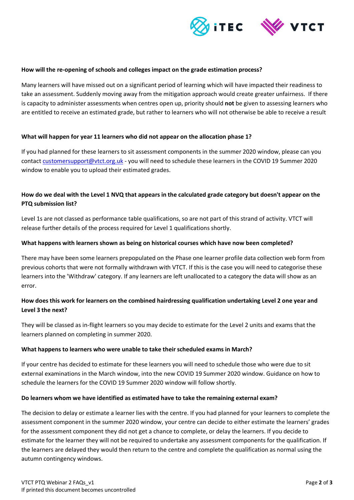

#### **How will the re-opening of schools and colleges impact on the grade estimation process?**

Many learners will have missed out on a significant period of learning which will have impacted their readiness to take an assessment. Suddenly moving away from the mitigation approach would create greater unfairness. If there is capacity to administer assessments when centres open up, priority should **not** be given to assessing learners who are entitled to receive an estimated grade, but rather to learners who will not otherwise be able to receive a result

#### **What will happen for year 11 learners who did not appear on the allocation phase 1?**

If you had planned for these learners to sit assessment components in the summer 2020 window, please can you contact [customersupport@vtct.org.uk](mailto:customersupport@vtct.org.uk) - you will need to schedule these learners in the COVID 19 Summer 2020 window to enable you to upload their estimated grades.

# **How do we deal with the Level 1 NVQ that appears in the calculated grade category but doesn't appear on the PTQ submission list?**

Level 1s are not classed as performance table qualifications, so are not part of this strand of activity. VTCT will release further details of the process required for Level 1 qualifications shortly.

#### **What happens with learners shown as being on historical courses which have now been completed?**

There may have been some learners prepopulated on the Phase one learner profile data collection web form from previous cohorts that were not formally withdrawn with VTCT. If this is the case you will need to categorise these learners into the 'Withdraw' category. If any learners are left unallocated to a category the data will show as an error.

# **How does this work for learners on the combined hairdressing qualification undertaking Level 2 one year and Level 3 the next?**

They will be classed as in-flight learners so you may decide to estimate for the Level 2 units and exams that the learners planned on completing in summer 2020.

# **What happens to learners who were unable to take their scheduled exams in March?**

If your centre has decided to estimate for these learners you will need to schedule those who were due to sit external examinations in the March window, into the new COVID 19 Summer 2020 window. Guidance on how to schedule the learners for the COVID 19 Summer 2020 window will follow shortly.

#### **Do learners whom we have identified as estimated have to take the remaining external exam?**

The decision to delay or estimate a learner lies with the centre. If you had planned for your learners to complete the assessment component in the summer 2020 window, your centre can decide to either estimate the learners' grades for the assessment component they did not get a chance to complete, or delay the learners. If you decide to estimate for the learner they will not be required to undertake any assessment components for the qualification. If the learners are delayed they would then return to the centre and complete the qualification as normal using the autumn contingency windows.